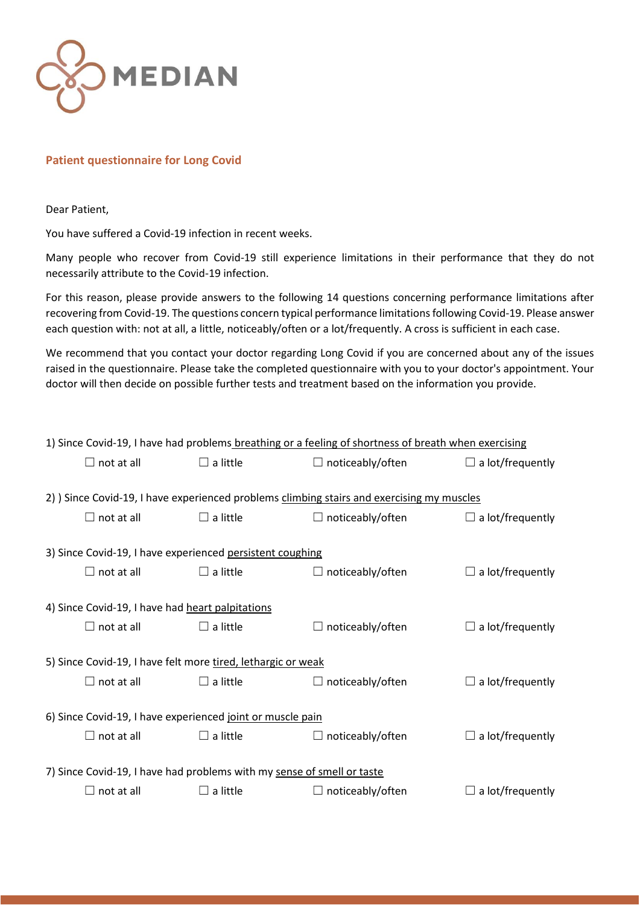

## **Patient questionnaire for Long Covid**

Dear Patient,

You have suffered a Covid-19 infection in recent weeks.

Many people who recover from Covid-19 still experience limitations in their performance that they do not necessarily attribute to the Covid-19 infection.

For this reason, please provide answers to the following 14 questions concerning performance limitations after recovering from Covid-19. The questions concern typical performance limitations following Covid-19. Please answer each question with: not at all, a little, noticeably/often or a lot/frequently. A cross is sufficient in each case.

We recommend that you contact your doctor regarding Long Covid if you are concerned about any of the issues raised in the questionnaire. Please take the completed questionnaire with you to your doctor's appointment. Your doctor will then decide on possible further tests and treatment based on the information you provide.

| 1) Since Covid-19, I have had problems breathing or a feeling of shortness of breath when exercising |                   |                 |                         |                         |  |  |  |
|------------------------------------------------------------------------------------------------------|-------------------|-----------------|-------------------------|-------------------------|--|--|--|
|                                                                                                      | $\Box$ not at all | $\Box$ a little | $\Box$ noticeably/often | $\Box$ a lot/frequently |  |  |  |
| 2) Since Covid-19, I have experienced problems climbing stairs and exercising my muscles             |                   |                 |                         |                         |  |  |  |
|                                                                                                      | $\Box$ not at all | $\Box$ a little | $\Box$ noticeably/often | $\Box$ a lot/frequently |  |  |  |
| 3) Since Covid-19, I have experienced persistent coughing                                            |                   |                 |                         |                         |  |  |  |
|                                                                                                      | $\Box$ not at all | $\Box$ a little | $\Box$ noticeably/often | $\Box$ a lot/frequently |  |  |  |
| 4) Since Covid-19, I have had heart palpitations                                                     |                   |                 |                         |                         |  |  |  |
|                                                                                                      | $\Box$ not at all | $\Box$ a little | $\Box$ noticeably/often | $\Box$ a lot/frequently |  |  |  |
| 5) Since Covid-19, I have felt more tired, lethargic or weak                                         |                   |                 |                         |                         |  |  |  |
|                                                                                                      | $\Box$ not at all | $\Box$ a little | $\Box$ noticeably/often | $\Box$ a lot/frequently |  |  |  |
| 6) Since Covid-19, I have experienced joint or muscle pain                                           |                   |                 |                         |                         |  |  |  |
|                                                                                                      | $\Box$ not at all | $\Box$ a little | $\Box$ noticeably/often | $\Box$ a lot/frequently |  |  |  |
| 7) Since Covid-19, I have had problems with my sense of smell or taste                               |                   |                 |                         |                         |  |  |  |
|                                                                                                      | $\Box$ not at all | $\Box$ a little | $\Box$ noticeably/often | $\Box$ a lot/frequently |  |  |  |
|                                                                                                      |                   |                 |                         |                         |  |  |  |